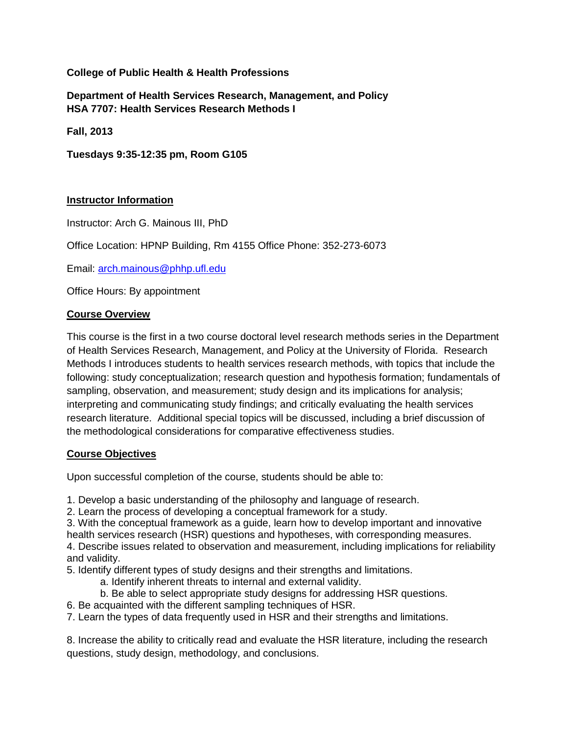# **College of Public Health & Health Professions**

**Department of Health Services Research, Management, and Policy HSA 7707: Health Services Research Methods I** 

**Fall, 2013** 

**Tuesdays 9:35-12:35 pm, Room G105**

# **Instructor Information**

Instructor: Arch G. Mainous III, PhD

Office Location: HPNP Building, Rm 4155 Office Phone: 352-273-6073

Email: [arch.mainous@phhp.ufl.edu](mailto:arch.mainous@phhp.ufl.edu)

Office Hours: By appointment

# **Course Overview**

This course is the first in a two course doctoral level research methods series in the Department of Health Services Research, Management, and Policy at the University of Florida. Research Methods I introduces students to health services research methods, with topics that include the following: study conceptualization; research question and hypothesis formation; fundamentals of sampling, observation, and measurement; study design and its implications for analysis; interpreting and communicating study findings; and critically evaluating the health services research literature. Additional special topics will be discussed, including a brief discussion of the methodological considerations for comparative effectiveness studies.

### **Course Objectives**

Upon successful completion of the course, students should be able to:

1. Develop a basic understanding of the philosophy and language of research.

2. Learn the process of developing a conceptual framework for a study.

3. With the conceptual framework as a guide, learn how to develop important and innovative health services research (HSR) questions and hypotheses, with corresponding measures. 4. Describe issues related to observation and measurement, including implications for reliability

and validity. 5. Identify different types of study designs and their strengths and limitations.

- a. Identify inherent threats to internal and external validity.
- b. Be able to select appropriate study designs for addressing HSR questions.
- 6. Be acquainted with the different sampling techniques of HSR.

7. Learn the types of data frequently used in HSR and their strengths and limitations.

8. Increase the ability to critically read and evaluate the HSR literature, including the research questions, study design, methodology, and conclusions.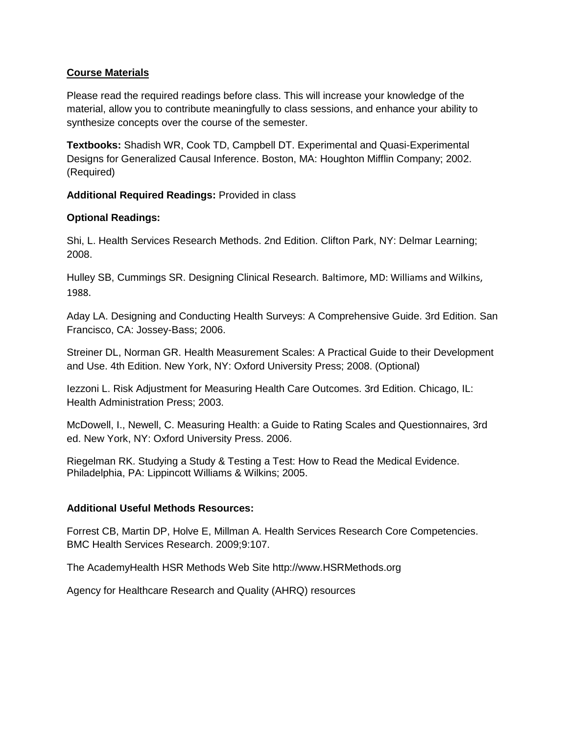## **Course Materials**

Please read the required readings before class. This will increase your knowledge of the material, allow you to contribute meaningfully to class sessions, and enhance your ability to synthesize concepts over the course of the semester.

**Textbooks:** Shadish WR, Cook TD, Campbell DT. Experimental and Quasi-Experimental Designs for Generalized Causal Inference. Boston, MA: Houghton Mifflin Company; 2002. (Required)

**Additional Required Readings:** Provided in class

# **Optional Readings:**

Shi, L. Health Services Research Methods. 2nd Edition. Clifton Park, NY: Delmar Learning; 2008.

Hulley SB, Cummings SR. Designing Clinical Research. Baltimore, MD: Williams and Wilkins, 1988.

Aday LA. Designing and Conducting Health Surveys: A Comprehensive Guide. 3rd Edition. San Francisco, CA: Jossey-Bass; 2006.

Streiner DL, Norman GR. Health Measurement Scales: A Practical Guide to their Development and Use. 4th Edition. New York, NY: Oxford University Press; 2008. (Optional)

Iezzoni L. Risk Adjustment for Measuring Health Care Outcomes. 3rd Edition. Chicago, IL: Health Administration Press; 2003.

McDowell, I., Newell, C. Measuring Health: a Guide to Rating Scales and Questionnaires, 3rd ed. New York, NY: Oxford University Press. 2006.

Riegelman RK. Studying a Study & Testing a Test: How to Read the Medical Evidence. Philadelphia, PA: Lippincott Williams & Wilkins; 2005.

### **Additional Useful Methods Resources:**

Forrest CB, Martin DP, Holve E, Millman A. Health Services Research Core Competencies. BMC Health Services Research. 2009;9:107.

The AcademyHealth HSR Methods Web Site http://www.HSRMethods.org

Agency for Healthcare Research and Quality (AHRQ) resources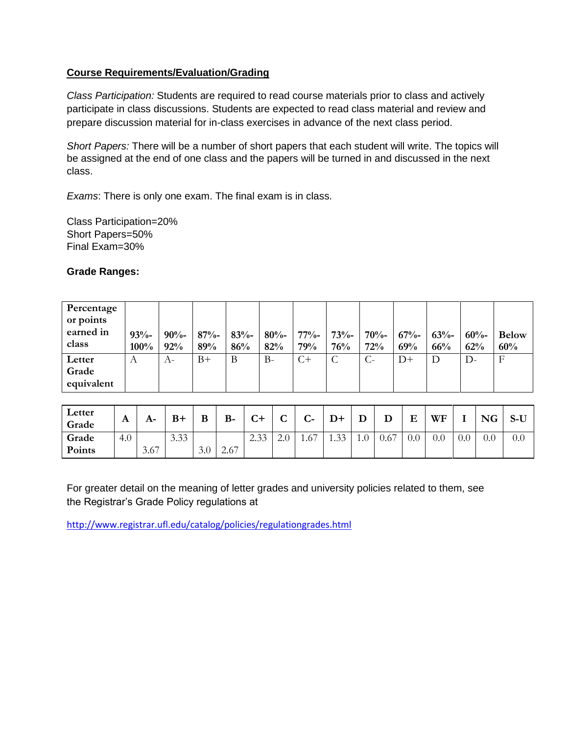# **Course Requirements/Evaluation/Grading**

*Class Participation:* Students are required to read course materials prior to class and actively participate in class discussions. Students are expected to read class material and review and prepare discussion material for in-class exercises in advance of the next class period.

*Short Papers:* There will be a number of short papers that each student will write. The topics will be assigned at the end of one class and the papers will be turned in and discussed in the next class.

*Exams*: There is only one exam. The final exam is in class.

Class Participation=20% Short Papers=50% Final Exam=30%

### **Grade Ranges:**

| Percentage<br>or points<br>earned in<br>class | 93%<br>100% | $90% -$<br>92% | $87% -$<br>89% | $83% -$<br>86% | $80% -$<br>82% | $77% -$<br>79% | $73% -$<br>76% | $70% -$<br>72% | $67% -$<br>69% | $63% -$<br>66% | $60% -$<br>62% | <b>Below</b><br>60% |
|-----------------------------------------------|-------------|----------------|----------------|----------------|----------------|----------------|----------------|----------------|----------------|----------------|----------------|---------------------|
| Letter<br>Grade<br>equivalent                 | А           | $A-$           | $B+$           | B              | $B-$           | C+             | C              |                | $D+$           | D              | $D-$           | $\mathbf{F}$        |

| Letter<br>Grade | A   | A-   | $B+$ | B   | $B-$ | $\sim$ $\sim$<br>ີ | $\sqrt{ }$<br>ີ | $\sqrt{ }$<br>$\sim$ | $D+$       |     | D    | E   | WF  |     | <b>NG</b> | $S-U$ |
|-----------------|-----|------|------|-----|------|--------------------|-----------------|----------------------|------------|-----|------|-----|-----|-----|-----------|-------|
| Grade           | 4.0 |      | 3.33 |     |      | 22<br>ر د.ے        | 4.U             | 1.67                 | 33<br>1.JJ | 1.0 | 0.67 | 0.0 | 0.0 | 0.0 | 0.0       | 0.0   |
| Points          |     | 3.67 |      | 3.0 | 2.67 |                    |                 |                      |            |     |      |     |     |     |           |       |

For greater detail on the meaning of letter grades and university policies related to them, see the Registrar's Grade Policy regulations at

<http://www.registrar.ufl.edu/catalog/policies/regulationgrades.html>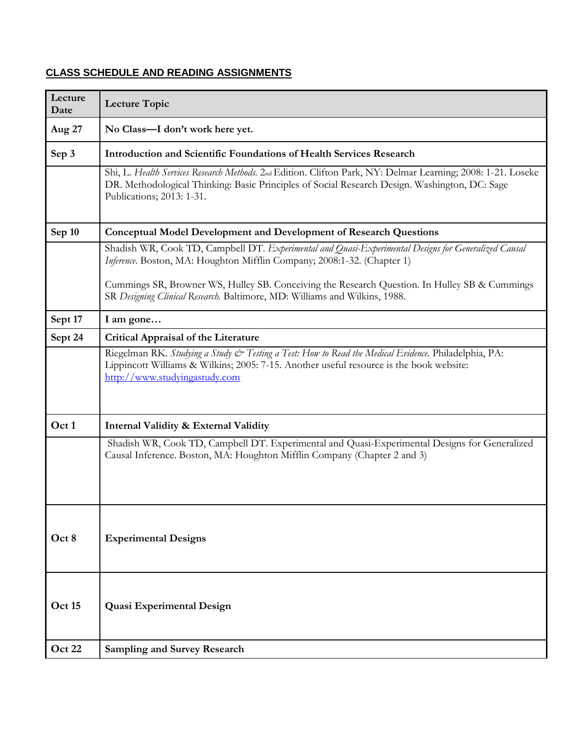# **CLASS SCHEDULE AND READING ASSIGNMENTS**

| Lecture<br>Date | <b>Lecture Topic</b>                                                                                                                                                                                                                       |  |  |  |  |  |
|-----------------|--------------------------------------------------------------------------------------------------------------------------------------------------------------------------------------------------------------------------------------------|--|--|--|--|--|
| Aug 27          | No Class-I don't work here yet.                                                                                                                                                                                                            |  |  |  |  |  |
| Sep 3           | <b>Introduction and Scientific Foundations of Health Services Research</b>                                                                                                                                                                 |  |  |  |  |  |
|                 | Shi, L. Health Services Research Methods. 2nd Edition. Clifton Park, NY: Delmar Learning; 2008: 1-21. Loseke<br>DR. Methodological Thinking: Basic Principles of Social Research Design. Washington, DC: Sage<br>Publications; 2013: 1-31. |  |  |  |  |  |
| Sep 10          | <b>Conceptual Model Development and Development of Research Questions</b>                                                                                                                                                                  |  |  |  |  |  |
|                 | Shadish WR, Cook TD, Campbell DT. Experimental and Quasi-Experimental Designs for Generalized Causal<br>Inference. Boston, MA: Houghton Mifflin Company; 2008:1-32. (Chapter 1)                                                            |  |  |  |  |  |
|                 | Cummings SR, Browner WS, Hulley SB. Conceiving the Research Question. In Hulley SB & Cummings<br>SR Designing Clinical Research. Baltimore, MD: Williams and Wilkins, 1988.                                                                |  |  |  |  |  |
| Sept 17         | I am gone                                                                                                                                                                                                                                  |  |  |  |  |  |
| Sept 24         | <b>Critical Appraisal of the Literature</b>                                                                                                                                                                                                |  |  |  |  |  |
|                 | Riegelman RK. Studying a Study & Testing a Test: How to Read the Medical Evidence. Philadelphia, PA:<br>Lippincott Williams & Wilkins; 2005: 7-15. Another useful resource is the book website:<br>http://www.studyingastudy.com           |  |  |  |  |  |
| Oct 1           | Internal Validity & External Validity                                                                                                                                                                                                      |  |  |  |  |  |
|                 | Shadish WR, Cook TD, Campbell DT. Experimental and Quasi-Experimental Designs for Generalized<br>Causal Inference. Boston, MA: Houghton Mifflin Company (Chapter 2 and 3)                                                                  |  |  |  |  |  |
| Oct 8           | <b>Experimental Designs</b>                                                                                                                                                                                                                |  |  |  |  |  |
| Oct 15          | <b>Quasi Experimental Design</b>                                                                                                                                                                                                           |  |  |  |  |  |
| Oct 22          | <b>Sampling and Survey Research</b>                                                                                                                                                                                                        |  |  |  |  |  |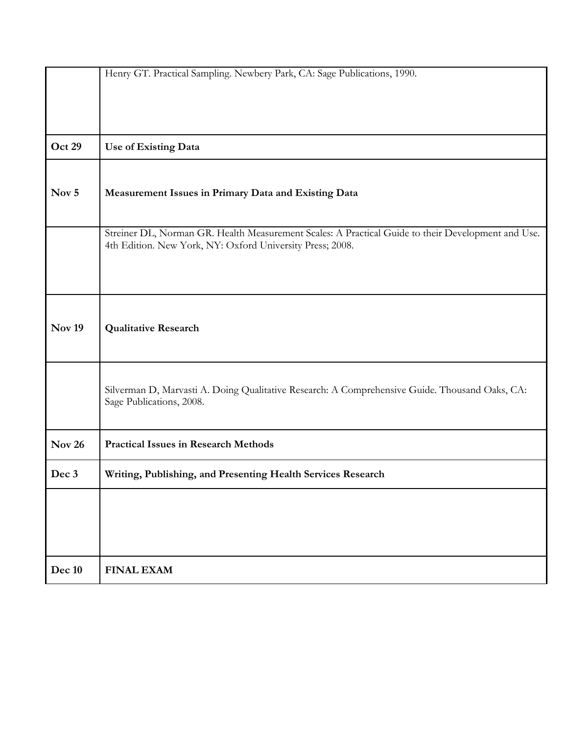|               | Henry GT. Practical Sampling. Newbery Park, CA: Sage Publications, 1990.                                                                                        |
|---------------|-----------------------------------------------------------------------------------------------------------------------------------------------------------------|
|               |                                                                                                                                                                 |
|               |                                                                                                                                                                 |
|               |                                                                                                                                                                 |
|               |                                                                                                                                                                 |
| Oct 29        | Use of Existing Data                                                                                                                                            |
|               |                                                                                                                                                                 |
|               |                                                                                                                                                                 |
|               |                                                                                                                                                                 |
| Nov 5         | Measurement Issues in Primary Data and Existing Data                                                                                                            |
|               |                                                                                                                                                                 |
|               |                                                                                                                                                                 |
|               | Streiner DL, Norman GR. Health Measurement Scales: A Practical Guide to their Development and Use.<br>4th Edition. New York, NY: Oxford University Press; 2008. |
|               |                                                                                                                                                                 |
|               |                                                                                                                                                                 |
|               |                                                                                                                                                                 |
|               |                                                                                                                                                                 |
|               |                                                                                                                                                                 |
| <b>Nov 19</b> | <b>Qualitative Research</b>                                                                                                                                     |
|               |                                                                                                                                                                 |
|               |                                                                                                                                                                 |
|               |                                                                                                                                                                 |
|               |                                                                                                                                                                 |
|               | Silverman D, Marvasti A. Doing Qualitative Research: A Comprehensive Guide. Thousand Oaks, CA:<br>Sage Publications, 2008.                                      |
|               |                                                                                                                                                                 |
|               |                                                                                                                                                                 |
| <b>Nov 26</b> | <b>Practical Issues in Research Methods</b>                                                                                                                     |
|               |                                                                                                                                                                 |
| Dec 3         | Writing, Publishing, and Presenting Health Services Research                                                                                                    |
|               |                                                                                                                                                                 |
|               |                                                                                                                                                                 |
|               |                                                                                                                                                                 |
|               |                                                                                                                                                                 |
|               |                                                                                                                                                                 |
|               |                                                                                                                                                                 |
| Dec 10        | <b>FINAL EXAM</b>                                                                                                                                               |